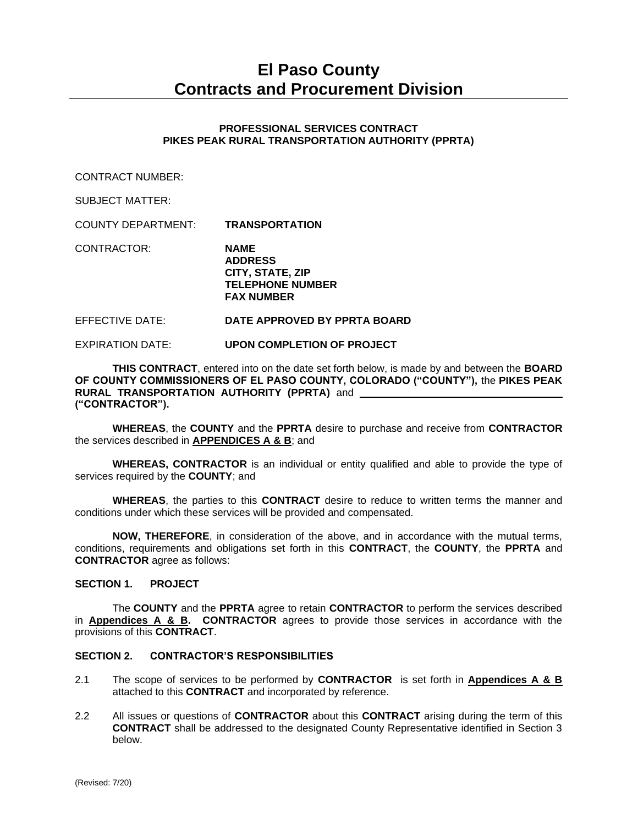# **El Paso County Contracts and Procurement Division**

## **PROFESSIONAL SERVICES CONTRACT PIKES PEAK RURAL TRANSPORTATION AUTHORITY (PPRTA)**

CONTRACT NUMBER:

SUBJECT MATTER:

COUNTY DEPARTMENT: **TRANSPORTATION**

CONTRACTOR: **NAME ADDRESS CITY, STATE, ZIP TELEPHONE NUMBER FAX NUMBER**

#### EFFECTIVE DATE: **DATE APPROVED BY PPRTA BOARD**

EXPIRATION DATE: **UPON COMPLETION OF PROJECT**

**THIS CONTRACT**, entered into on the date set forth below, is made by and between the **BOARD OF COUNTY COMMISSIONERS OF EL PASO COUNTY, COLORADO ("COUNTY"),** the **PIKES PEAK RURAL TRANSPORTATION AUTHORITY (PPRTA)** and **("CONTRACTOR").**

**WHEREAS**, the **COUNTY** and the **PPRTA** desire to purchase and receive from **CONTRACTOR** the services described in **APPENDICES A & B**; and

**WHEREAS, CONTRACTOR** is an individual or entity qualified and able to provide the type of services required by the **COUNTY**; and

**WHEREAS**, the parties to this **CONTRACT** desire to reduce to written terms the manner and conditions under which these services will be provided and compensated.

**NOW, THEREFORE**, in consideration of the above, and in accordance with the mutual terms, conditions, requirements and obligations set forth in this **CONTRACT**, the **COUNTY**, the **PPRTA** and **CONTRACTOR** agree as follows:

#### **SECTION 1. PROJECT**

The **COUNTY** and the **PPRTA** agree to retain **CONTRACTOR** to perform the services described in **Appendices A & B. CONTRACTOR** agrees to provide those services in accordance with the provisions of this **CONTRACT**.

## **SECTION 2. CONTRACTOR'S RESPONSIBILITIES**

- 2.1 The scope of services to be performed by **CONTRACTOR** is set forth in **Appendices A & B** attached to this **CONTRACT** and incorporated by reference.
- 2.2 All issues or questions of **CONTRACTOR** about this **CONTRACT** arising during the term of this **CONTRACT** shall be addressed to the designated County Representative identified in Section 3 below.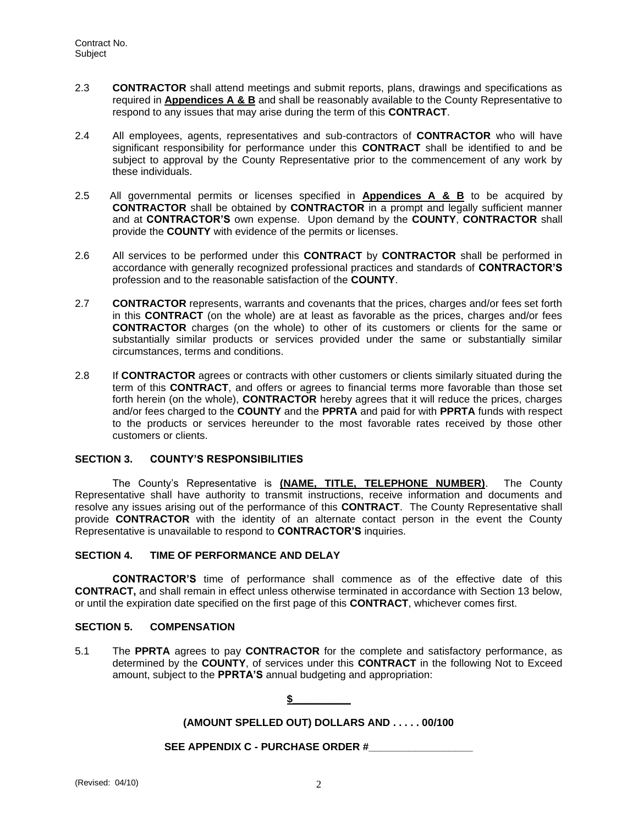- 2.3 **CONTRACTOR** shall attend meetings and submit reports, plans, drawings and specifications as required in **Appendices A & B** and shall be reasonably available to the County Representative to respond to any issues that may arise during the term of this **CONTRACT**.
- 2.4 All employees, agents, representatives and sub-contractors of **CONTRACTOR** who will have significant responsibility for performance under this **CONTRACT** shall be identified to and be subject to approval by the County Representative prior to the commencement of any work by these individuals.
- 2.5 All governmental permits or licenses specified in **Appendices A & B** to be acquired by **CONTRACTOR** shall be obtained by **CONTRACTOR** in a prompt and legally sufficient manner and at **CONTRACTOR'S** own expense. Upon demand by the **COUNTY**, **CONTRACTOR** shall provide the **COUNTY** with evidence of the permits or licenses.
- 2.6 All services to be performed under this **CONTRACT** by **CONTRACTOR** shall be performed in accordance with generally recognized professional practices and standards of **CONTRACTOR'S** profession and to the reasonable satisfaction of the **COUNTY**.
- 2.7 **CONTRACTOR** represents, warrants and covenants that the prices, charges and/or fees set forth in this **CONTRACT** (on the whole) are at least as favorable as the prices, charges and/or fees **CONTRACTOR** charges (on the whole) to other of its customers or clients for the same or substantially similar products or services provided under the same or substantially similar circumstances, terms and conditions.
- 2.8 If **CONTRACTOR** agrees or contracts with other customers or clients similarly situated during the term of this **CONTRACT**, and offers or agrees to financial terms more favorable than those set forth herein (on the whole), **CONTRACTOR** hereby agrees that it will reduce the prices, charges and/or fees charged to the **COUNTY** and the **PPRTA** and paid for with **PPRTA** funds with respect to the products or services hereunder to the most favorable rates received by those other customers or clients.

#### **SECTION 3. COUNTY'S RESPONSIBILITIES**

The County's Representative is **(NAME, TITLE, TELEPHONE NUMBER)**. The County Representative shall have authority to transmit instructions, receive information and documents and resolve any issues arising out of the performance of this **CONTRACT**. The County Representative shall provide **CONTRACTOR** with the identity of an alternate contact person in the event the County Representative is unavailable to respond to **CONTRACTOR'S** inquiries.

#### **SECTION 4. TIME OF PERFORMANCE AND DELAY**

**CONTRACTOR'S** time of performance shall commence as of the effective date of this **CONTRACT,** and shall remain in effect unless otherwise terminated in accordance with Section 13 below, or until the expiration date specified on the first page of this **CONTRACT**, whichever comes first.

#### **SECTION 5. COMPENSATION**

5.1 The **PPRTA** agrees to pay **CONTRACTOR** for the complete and satisfactory performance, as determined by the **COUNTY**, of services under this **CONTRACT** in the following Not to Exceed amount, subject to the **PPRTA'S** annual budgeting and appropriation:

 $$$ 

# **(AMOUNT SPELLED OUT) DOLLARS AND . . . . . 00/100**

**SEE APPENDIX C - PURCHASE ORDER #\_\_\_\_\_\_\_\_\_\_\_\_\_\_\_\_\_\_**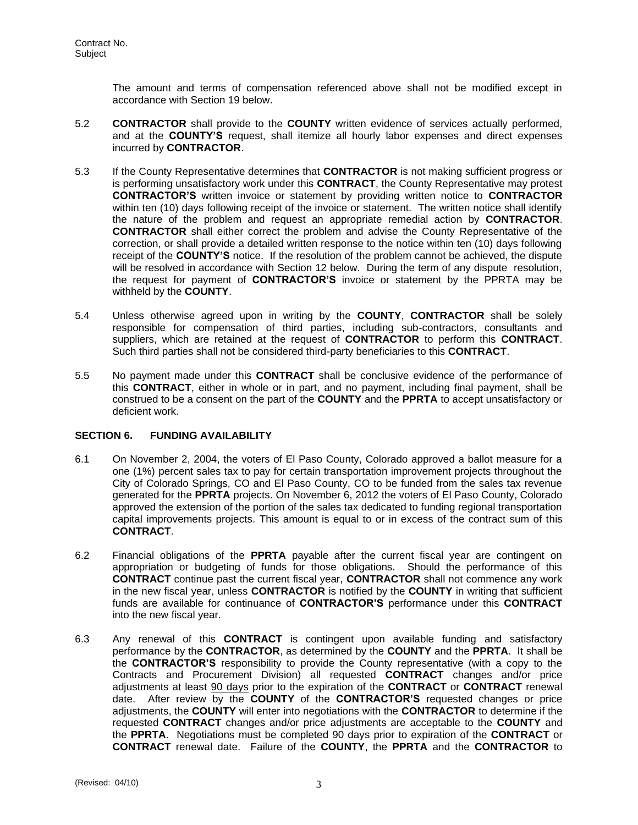The amount and terms of compensation referenced above shall not be modified except in accordance with Section 19 below.

- 5.2 **CONTRACTOR** shall provide to the **COUNTY** written evidence of services actually performed, and at the **COUNTY'S** request, shall itemize all hourly labor expenses and direct expenses incurred by **CONTRACTOR**.
- 5.3 If the County Representative determines that **CONTRACTOR** is not making sufficient progress or is performing unsatisfactory work under this **CONTRACT**, the County Representative may protest **CONTRACTOR'S** written invoice or statement by providing written notice to **CONTRACTOR**  within ten (10) days following receipt of the invoice or statement. The written notice shall identify the nature of the problem and request an appropriate remedial action by **CONTRACTOR**. **CONTRACTOR** shall either correct the problem and advise the County Representative of the correction, or shall provide a detailed written response to the notice within ten (10) days following receipt of the **COUNTY'S** notice. If the resolution of the problem cannot be achieved, the dispute will be resolved in accordance with Section 12 below. During the term of any dispute resolution, the request for payment of **CONTRACTOR'S** invoice or statement by the PPRTA may be withheld by the **COUNTY**.
- 5.4 Unless otherwise agreed upon in writing by the **COUNTY**, **CONTRACTOR** shall be solely responsible for compensation of third parties, including sub-contractors, consultants and suppliers, which are retained at the request of **CONTRACTOR** to perform this **CONTRACT**. Such third parties shall not be considered third-party beneficiaries to this **CONTRACT**.
- 5.5 No payment made under this **CONTRACT** shall be conclusive evidence of the performance of this **CONTRACT**, either in whole or in part, and no payment, including final payment, shall be construed to be a consent on the part of the **COUNTY** and the **PPRTA** to accept unsatisfactory or deficient work.

# **SECTION 6. FUNDING AVAILABILITY**

- 6.1 On November 2, 2004, the voters of El Paso County, Colorado approved a ballot measure for a one (1%) percent sales tax to pay for certain transportation improvement projects throughout the City of Colorado Springs, CO and El Paso County, CO to be funded from the sales tax revenue generated for the **PPRTA** projects. On November 6, 2012 the voters of El Paso County, Colorado approved the extension of the portion of the sales tax dedicated to funding regional transportation capital improvements projects. This amount is equal to or in excess of the contract sum of this **CONTRACT**.
- 6.2 Financial obligations of the **PPRTA** payable after the current fiscal year are contingent on appropriation or budgeting of funds for those obligations. Should the performance of this **CONTRACT** continue past the current fiscal year, **CONTRACTOR** shall not commence any work in the new fiscal year, unless **CONTRACTOR** is notified by the **COUNTY** in writing that sufficient funds are available for continuance of **CONTRACTOR'S** performance under this **CONTRACT** into the new fiscal year.
- 6.3 Any renewal of this **CONTRACT** is contingent upon available funding and satisfactory performance by the **CONTRACTOR**, as determined by the **COUNTY** and the **PPRTA**. It shall be the **CONTRACTOR'S** responsibility to provide the County representative (with a copy to the Contracts and Procurement Division) all requested **CONTRACT** changes and/or price adjustments at least 90 days prior to the expiration of the **CONTRACT** or **CONTRACT** renewal date. After review by the **COUNTY** of the **CONTRACTOR'S** requested changes or price adjustments, the **COUNTY** will enter into negotiations with the **CONTRACTOR** to determine if the requested **CONTRACT** changes and/or price adjustments are acceptable to the **COUNTY** and the **PPRTA**. Negotiations must be completed 90 days prior to expiration of the **CONTRACT** or **CONTRACT** renewal date. Failure of the **COUNTY**, the **PPRTA** and the **CONTRACTOR** to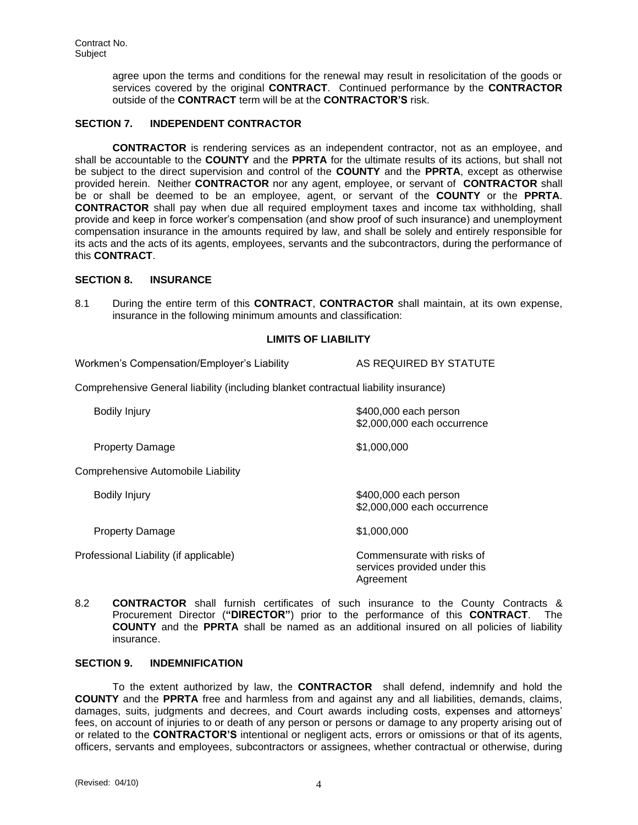Contract No. Subject

> agree upon the terms and conditions for the renewal may result in resolicitation of the goods or services covered by the original **CONTRACT**. Continued performance by the **CONTRACTOR** outside of the **CONTRACT** term will be at the **CONTRACTOR'S** risk.

#### **SECTION 7. INDEPENDENT CONTRACTOR**

**CONTRACTOR** is rendering services as an independent contractor, not as an employee, and shall be accountable to the **COUNTY** and the **PPRTA** for the ultimate results of its actions, but shall not be subject to the direct supervision and control of the **COUNTY** and the **PPRTA**, except as otherwise provided herein. Neither **CONTRACTOR** nor any agent, employee, or servant of **CONTRACTOR** shall be or shall be deemed to be an employee, agent, or servant of the **COUNTY** or the **PPRTA**. **CONTRACTOR** shall pay when due all required employment taxes and income tax withholding, shall provide and keep in force worker's compensation (and show proof of such insurance) and unemployment compensation insurance in the amounts required by law, and shall be solely and entirely responsible for its acts and the acts of its agents, employees, servants and the subcontractors, during the performance of this **CONTRACT**.

#### **SECTION 8. INSURANCE**

8.1 During the entire term of this **CONTRACT**, **CONTRACTOR** shall maintain, at its own expense, insurance in the following minimum amounts and classification:

#### **LIMITS OF LIABILITY**

Workmen's Compensation/Employer's Liability AS REQUIRED BY STATUTE

Comprehensive General liability (including blanket contractual liability insurance)

| <b>Bodily Injury</b>                   | \$400,000 each person<br>\$2,000,000 each occurrence                    |
|----------------------------------------|-------------------------------------------------------------------------|
| <b>Property Damage</b>                 | \$1,000,000                                                             |
| Comprehensive Automobile Liability     |                                                                         |
| Bodily Injury                          | \$400,000 each person<br>\$2,000,000 each occurrence                    |
| <b>Property Damage</b>                 | \$1,000,000                                                             |
| Professional Liability (if applicable) | Commensurate with risks of<br>services provided under this<br>Agreement |

8.2 **CONTRACTOR** shall furnish certificates of such insurance to the County Contracts & Procurement Director (**"DIRECTOR"**) prior to the performance of this **CONTRACT**. The **COUNTY** and the **PPRTA** shall be named as an additional insured on all policies of liability insurance.

#### **SECTION 9. INDEMNIFICATION**

To the extent authorized by law, the **CONTRACTOR** shall defend, indemnify and hold the **COUNTY** and the **PPRTA** free and harmless from and against any and all liabilities, demands, claims, damages, suits, judgments and decrees, and Court awards including costs, expenses and attorneys' fees, on account of injuries to or death of any person or persons or damage to any property arising out of or related to the **CONTRACTOR'S** intentional or negligent acts, errors or omissions or that of its agents, officers, servants and employees, subcontractors or assignees, whether contractual or otherwise, during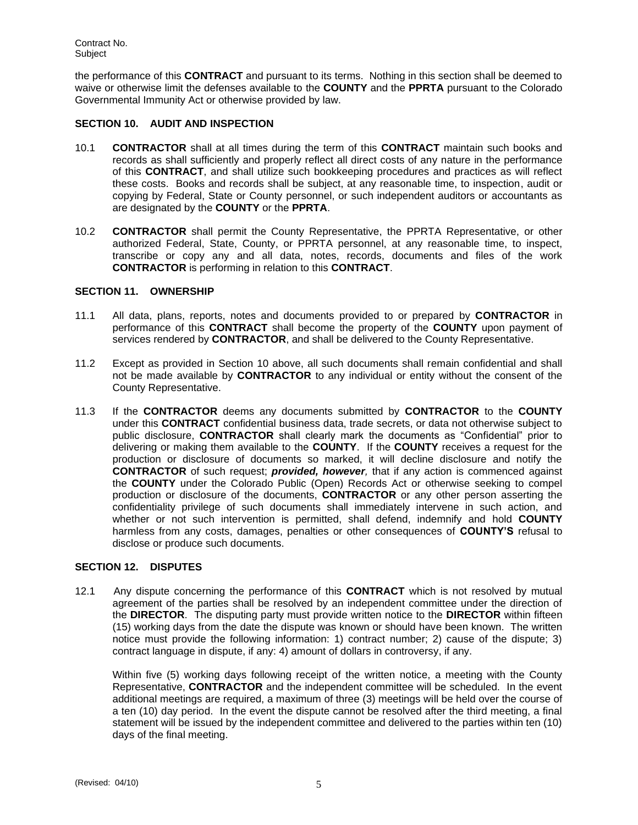the performance of this **CONTRACT** and pursuant to its terms. Nothing in this section shall be deemed to waive or otherwise limit the defenses available to the **COUNTY** and the **PPRTA** pursuant to the Colorado Governmental Immunity Act or otherwise provided by law.

## **SECTION 10. AUDIT AND INSPECTION**

- 10.1 **CONTRACTOR** shall at all times during the term of this **CONTRACT** maintain such books and records as shall sufficiently and properly reflect all direct costs of any nature in the performance of this **CONTRACT**, and shall utilize such bookkeeping procedures and practices as will reflect these costs. Books and records shall be subject, at any reasonable time, to inspection, audit or copying by Federal, State or County personnel, or such independent auditors or accountants as are designated by the **COUNTY** or the **PPRTA**.
- 10.2 **CONTRACTOR** shall permit the County Representative, the PPRTA Representative, or other authorized Federal, State, County, or PPRTA personnel, at any reasonable time, to inspect, transcribe or copy any and all data, notes, records, documents and files of the work **CONTRACTOR** is performing in relation to this **CONTRACT**.

#### **SECTION 11. OWNERSHIP**

- 11.1 All data, plans, reports, notes and documents provided to or prepared by **CONTRACTOR** in performance of this **CONTRACT** shall become the property of the **COUNTY** upon payment of services rendered by **CONTRACTOR**, and shall be delivered to the County Representative.
- 11.2 Except as provided in Section 10 above, all such documents shall remain confidential and shall not be made available by **CONTRACTOR** to any individual or entity without the consent of the County Representative.
- 11.3 If the **CONTRACTOR** deems any documents submitted by **CONTRACTOR** to the **COUNTY**  under this **CONTRACT** confidential business data, trade secrets, or data not otherwise subject to public disclosure, **CONTRACTOR** shall clearly mark the documents as "Confidential" prior to delivering or making them available to the **COUNTY**. If the **COUNTY** receives a request for the production or disclosure of documents so marked, it will decline disclosure and notify the **CONTRACTOR** of such request; *provided, however,* that if any action is commenced against the **COUNTY** under the Colorado Public (Open) Records Act or otherwise seeking to compel production or disclosure of the documents, **CONTRACTOR** or any other person asserting the confidentiality privilege of such documents shall immediately intervene in such action, and whether or not such intervention is permitted, shall defend, indemnify and hold **COUNTY** harmless from any costs, damages, penalties or other consequences of **COUNTY'S** refusal to disclose or produce such documents.

## **SECTION 12. DISPUTES**

12.1 Any dispute concerning the performance of this **CONTRACT** which is not resolved by mutual agreement of the parties shall be resolved by an independent committee under the direction of the **DIRECTOR**. The disputing party must provide written notice to the **DIRECTOR** within fifteen (15) working days from the date the dispute was known or should have been known. The written notice must provide the following information: 1) contract number; 2) cause of the dispute; 3) contract language in dispute, if any: 4) amount of dollars in controversy, if any.

Within five (5) working days following receipt of the written notice, a meeting with the County Representative, **CONTRACTOR** and the independent committee will be scheduled. In the event additional meetings are required, a maximum of three (3) meetings will be held over the course of a ten (10) day period. In the event the dispute cannot be resolved after the third meeting, a final statement will be issued by the independent committee and delivered to the parties within ten (10) days of the final meeting.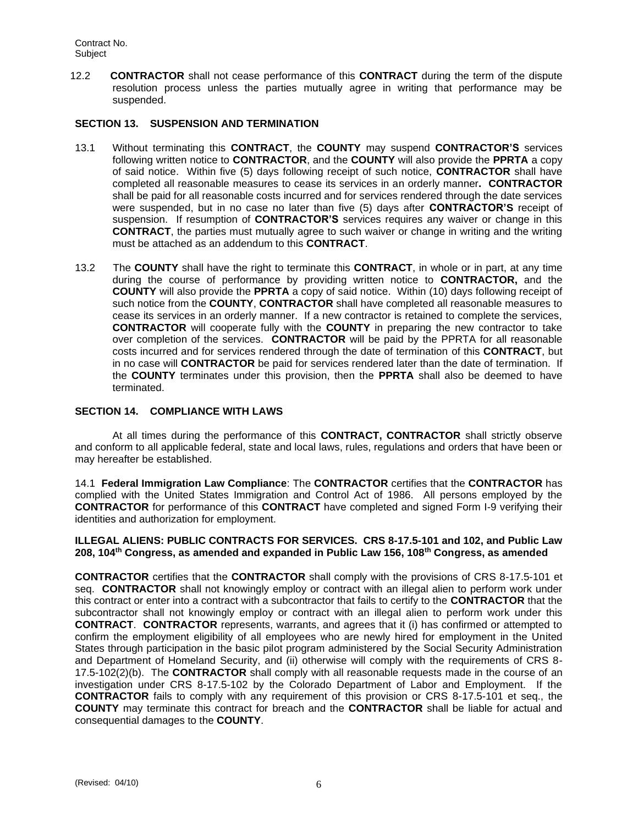12.2 **CONTRACTOR** shall not cease performance of this **CONTRACT** during the term of the dispute resolution process unless the parties mutually agree in writing that performance may be suspended.

#### **SECTION 13. SUSPENSION AND TERMINATION**

- 13.1 Without terminating this **CONTRACT**, the **COUNTY** may suspend **CONTRACTOR'S** services following written notice to **CONTRACTOR**, and the **COUNTY** will also provide the **PPRTA** a copy of said notice. Within five (5) days following receipt of such notice, **CONTRACTOR** shall have completed all reasonable measures to cease its services in an orderly manner**. CONTRACTOR** shall be paid for all reasonable costs incurred and for services rendered through the date services were suspended, but in no case no later than five (5) days after **CONTRACTOR'S** receipt of suspension. If resumption of **CONTRACTOR'S** services requires any waiver or change in this **CONTRACT**, the parties must mutually agree to such waiver or change in writing and the writing must be attached as an addendum to this **CONTRACT**.
- 13.2 The **COUNTY** shall have the right to terminate this **CONTRACT**, in whole or in part, at any time during the course of performance by providing written notice to **CONTRACTOR,** and the **COUNTY** will also provide the **PPRTA** a copy of said notice. Within (10) days following receipt of such notice from the **COUNTY**, **CONTRACTOR** shall have completed all reasonable measures to cease its services in an orderly manner. If a new contractor is retained to complete the services, **CONTRACTOR** will cooperate fully with the **COUNTY** in preparing the new contractor to take over completion of the services. **CONTRACTOR** will be paid by the PPRTA for all reasonable costs incurred and for services rendered through the date of termination of this **CONTRACT**, but in no case will **CONTRACTOR** be paid for services rendered later than the date of termination. If the **COUNTY** terminates under this provision, then the **PPRTA** shall also be deemed to have terminated.

#### **SECTION 14. COMPLIANCE WITH LAWS**

At all times during the performance of this **CONTRACT, CONTRACTOR** shall strictly observe and conform to all applicable federal, state and local laws, rules, regulations and orders that have been or may hereafter be established.

14.1 **Federal Immigration Law Compliance**: The **CONTRACTOR** certifies that the **CONTRACTOR** has complied with the United States Immigration and Control Act of 1986. All persons employed by the **CONTRACTOR** for performance of this **CONTRACT** have completed and signed Form I-9 verifying their identities and authorization for employment.

**ILLEGAL ALIENS: PUBLIC CONTRACTS FOR SERVICES. CRS 8-17.5-101 and 102, and Public Law 208, 104th Congress, as amended and expanded in Public Law 156, 108th Congress, as amended**

**CONTRACTOR** certifies that the **CONTRACTOR** shall comply with the provisions of CRS 8-17.5-101 et seq. **CONTRACTOR** shall not knowingly employ or contract with an illegal alien to perform work under this contract or enter into a contract with a subcontractor that fails to certify to the **CONTRACTOR** that the subcontractor shall not knowingly employ or contract with an illegal alien to perform work under this **CONTRACT**. **CONTRACTOR** represents, warrants, and agrees that it (i) has confirmed or attempted to confirm the employment eligibility of all employees who are newly hired for employment in the United States through participation in the basic pilot program administered by the Social Security Administration and Department of Homeland Security, and (ii) otherwise will comply with the requirements of CRS 8- 17.5-102(2)(b). The **CONTRACTOR** shall comply with all reasonable requests made in the course of an investigation under CRS 8-17.5-102 by the Colorado Department of Labor and Employment. If the **CONTRACTOR** fails to comply with any requirement of this provision or CRS 8-17.5-101 et seq., the **COUNTY** may terminate this contract for breach and the **CONTRACTOR** shall be liable for actual and consequential damages to the **COUNTY**.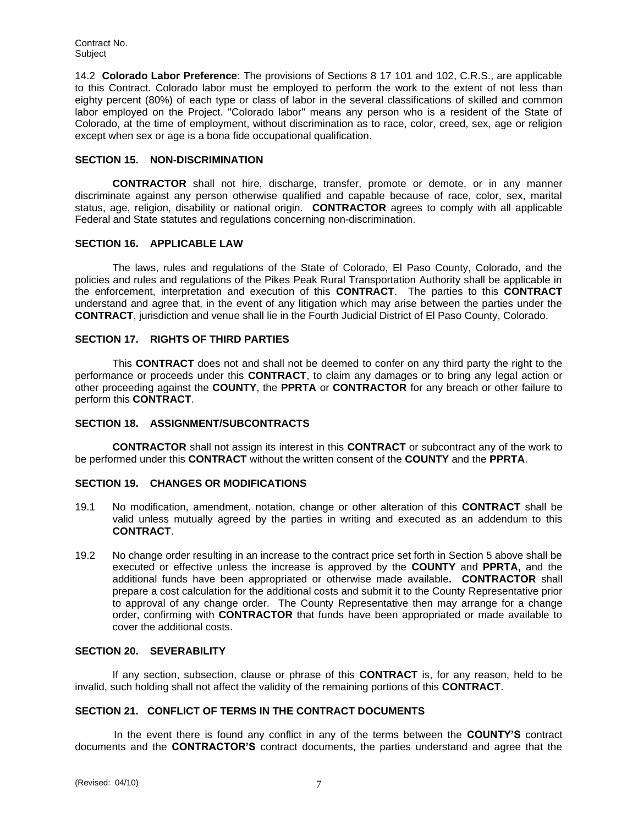14.2 **Colorado Labor Preference**: The provisions of Sections 8 17 101 and 102, C.R.S., are applicable to this Contract. Colorado labor must be employed to perform the work to the extent of not less than eighty percent (80%) of each type or class of labor in the several classifications of skilled and common labor employed on the Project. "Colorado labor" means any person who is a resident of the State of Colorado, at the time of employment, without discrimination as to race, color, creed, sex, age or religion except when sex or age is a bona fide occupational qualification.

#### **SECTION 15. NON-DISCRIMINATION**

**CONTRACTOR** shall not hire, discharge, transfer, promote or demote, or in any manner discriminate against any person otherwise qualified and capable because of race, color, sex, marital status, age, religion, disability or national origin. **CONTRACTOR** agrees to comply with all applicable Federal and State statutes and regulations concerning non-discrimination.

#### **SECTION 16. APPLICABLE LAW**

The laws, rules and regulations of the State of Colorado, El Paso County, Colorado, and the policies and rules and regulations of the Pikes Peak Rural Transportation Authority shall be applicable in the enforcement, interpretation and execution of this **CONTRACT**. The parties to this **CONTRACT** understand and agree that, in the event of any litigation which may arise between the parties under the **CONTRACT**, jurisdiction and venue shall lie in the Fourth Judicial District of El Paso County, Colorado.

# **SECTION 17. RIGHTS OF THIRD PARTIES**

This **CONTRACT** does not and shall not be deemed to confer on any third party the right to the performance or proceeds under this **CONTRACT**, to claim any damages or to bring any legal action or other proceeding against the **COUNTY**, the **PPRTA** or **CONTRACTOR** for any breach or other failure to perform this **CONTRACT**.

# **SECTION 18. ASSIGNMENT/SUBCONTRACTS**

**CONTRACTOR** shall not assign its interest in this **CONTRACT** or subcontract any of the work to be performed under this **CONTRACT** without the written consent of the **COUNTY** and the **PPRTA**.

#### **SECTION 19. CHANGES OR MODIFICATIONS**

- 19.1 No modification, amendment, notation, change or other alteration of this **CONTRACT** shall be valid unless mutually agreed by the parties in writing and executed as an addendum to this **CONTRACT**.
- 19.2 No change order resulting in an increase to the contract price set forth in Section 5 above shall be executed or effective unless the increase is approved by the **COUNTY** and **PPRTA,** and the additional funds have been appropriated or otherwise made available**. CONTRACTOR** shall prepare a cost calculation for the additional costs and submit it to the County Representative prior to approval of any change order. The County Representative then may arrange for a change order, confirming with **CONTRACTOR** that funds have been appropriated or made available to cover the additional costs.

#### **SECTION 20. SEVERABILITY**

If any section, subsection, clause or phrase of this **CONTRACT** is, for any reason, held to be invalid, such holding shall not affect the validity of the remaining portions of this **CONTRACT**.

# **SECTION 21. CONFLICT OF TERMS IN THE CONTRACT DOCUMENTS**

 In the event there is found any conflict in any of the terms between the **COUNTY'S** contract documents and the **CONTRACTOR'S** contract documents, the parties understand and agree that the